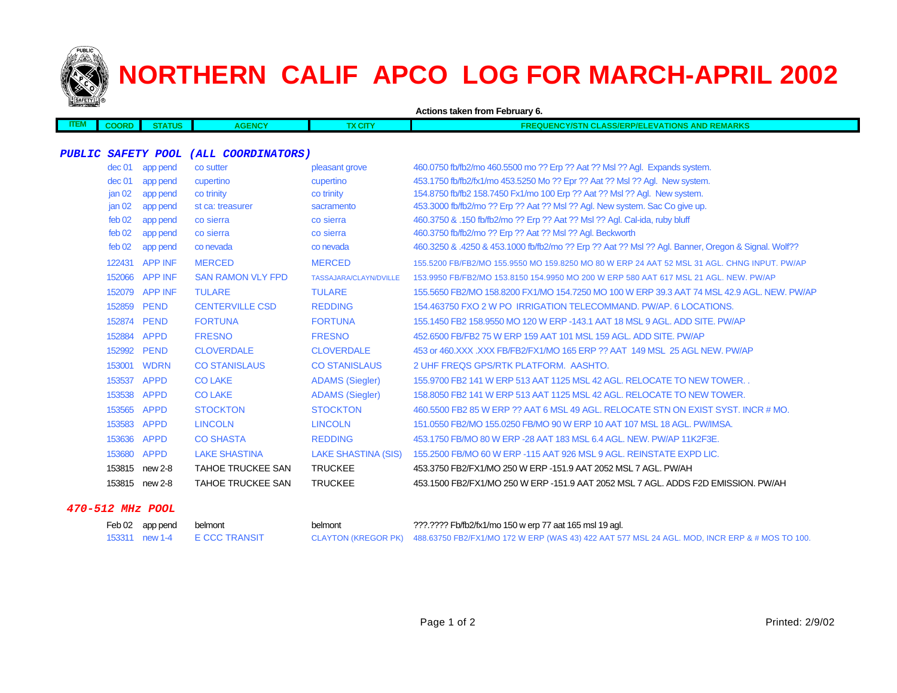

# **NORTHERN CALIF APCO LOG FOR MARCH-APRIL 2002**

|             |                   |                           |                          |                               | Actions taken from February 6.                                                                     |
|-------------|-------------------|---------------------------|--------------------------|-------------------------------|----------------------------------------------------------------------------------------------------|
| <b>ITEM</b> | <b>COORD</b>      | <b>STATUS</b>             | <b>AGENCY</b>            | <b>TX CITY</b>                | <b>FREQUENCY/STN CLASS/ERP/ELEVATIONS AND REMARKS</b>                                              |
|             |                   |                           |                          |                               |                                                                                                    |
|             |                   | <b>PUBLIC SAFETY POOL</b> | (ALL COORDINATORS)       |                               |                                                                                                    |
|             | dec 01            | app pend                  | co sutter                | pleasant grove                | 460.0750 fb/fb2/mo 460.5500 mo ?? Erp ?? Aat ?? Msl ?? Agl. Expands system.                        |
|             | dec <sub>01</sub> | app pend                  | cupertino                | cupertino                     | 453.1750 fb/fb2/fx1/mo 453.5250 Mo ?? Epr ?? Aat ?? Msl ?? Aql. New system.                        |
|             | jan <sub>02</sub> | app pend                  | co trinity               | co trinity                    | 154.8750 fb/fb2 158.7450 Fx1/mo 100 Erp ?? Aat ?? Msl ?? Agl. New system.                          |
|             | jan <sub>02</sub> | app pend                  | st ca: treasurer         | sacramento                    | 453.3000 fb/fb2/mo ?? Erp ?? Aat ?? Msl ?? Agl. New system. Sac Co give up.                        |
|             | feb 02            | app pend                  | co sierra                | co sierra                     | 460.3750 & .150 fb/fb2/mo ?? Erp ?? Aat ?? Msl ?? Agl. Cal-ida, ruby bluff                         |
|             | feb 02            | app pend                  | co sierra                | co sierra                     | 460.3750 fb/fb2/mo ?? Erp ?? Aat ?? Msl ?? Agl. Beckworth                                          |
|             | $f$ eb 02         | app pend                  | co nevada                | co nevada                     | 460.3250 & .4250 & 453.1000 fb/fb2/mo ?? Erp ?? Aat ?? Msl ?? Agl. Banner, Oregon & Signal. Wolf?? |
|             |                   | 122431 APP INF            | <b>MERCED</b>            | <b>MERCED</b>                 | 155,5200 FB/FB2/MO 155,9550 MO 159,8250 MO 80 W ERP 24 AAT 52 MSL 31 AGL, CHNG INPUT, PW/AP        |
|             | 152066            | <b>APP INF</b>            | <b>SAN RAMON VLY FPD</b> | <b>TASSAJARA/CLAYN/DVILLE</b> | 153,9950 FB/FB2/MO 153,8150 154,9950 MO 200 W ERP 580 AAT 617 MSL 21 AGL, NEW, PW/AP               |
|             | 152079            | <b>APP INF</b>            | <b>TULARE</b>            | <b>TULARE</b>                 | 155.5650 FB2/MO 158.8200 FX1/MO 154.7250 MO 100 W ERP 39.3 AAT 74 MSL 42.9 AGL. NEW. PW/AP         |
|             | 152859            | <b>PEND</b>               | <b>CENTERVILLE CSD</b>   | <b>REDDING</b>                | 154,463750 FXO 2 W PO IRRIGATION TELECOMMAND, PW/AP, 6 LOCATIONS.                                  |
|             | 152874 PEND       |                           | <b>FORTUNA</b>           | <b>FORTUNA</b>                | 155,1450 FB2 158,9550 MO 120 W ERP -143,1 AAT 18 MSL 9 AGL, ADD SITE, PW/AP                        |
|             | 152884 APPD       |                           | <b>FRESNO</b>            | <b>FRESNO</b>                 | 452,6500 FB/FB2 75 W ERP 159 AAT 101 MSL 159 AGL, ADD SITE, PW/AP                                  |
|             | 152992 PEND       |                           | <b>CLOVERDALE</b>        | <b>CLOVERDALE</b>             | 453 or 460, XXX . XXX FB/FB2/FX1/MO 165 ERP ?? AAT 149 MSL 25 AGL NEW, PW/AP                       |
|             |                   | 153001 WDRN               | <b>CO STANISLAUS</b>     | <b>CO STANISLAUS</b>          | 2 UHF FREQS GPS/RTK PLATFORM. AASHTO.                                                              |
|             | 153537            | <b>APPD</b>               | <b>CO LAKE</b>           | <b>ADAMS (Siegler)</b>        | 155,9700 FB2 141 W ERP 513 AAT 1125 MSL 42 AGL, RELOCATE TO NEW TOWER.                             |
|             | 153538            | <b>APPD</b>               | <b>COLAKE</b>            | <b>ADAMS (Siegler)</b>        | 158,8050 FB2 141 W ERP 513 AAT 1125 MSL 42 AGL, RELOCATE TO NEW TOWER.                             |
|             | 153565            | <b>APPD</b>               | <b>STOCKTON</b>          | <b>STOCKTON</b>               | 460,5500 FB2 85 W ERP ?? AAT 6 MSL 49 AGL. RELOCATE STN ON EXIST SYST. INCR # MO.                  |
|             | 153583 APPD       |                           | <b>LINCOLN</b>           | <b>LINCOLN</b>                | 151,0550 FB2/MO 155,0250 FB/MO 90 W ERP 10 AAT 107 MSL 18 AGL, PW/IMSA.                            |
|             | 153636 APPD       |                           | <b>CO SHASTA</b>         | <b>REDDING</b>                | 453.1750 FB/MO 80 W ERP - 28 AAT 183 MSL 6.4 AGL, NEW, PW/AP 11K2F3E.                              |
|             | 153680            | <b>APPD</b>               | <b>LAKE SHASTINA</b>     | <b>LAKE SHASTINA (SIS)</b>    | 155,2500 FB/MO 60 W ERP -115 AAT 926 MSL 9 AGL, REINSTATE EXPD LIC.                                |
|             |                   | 153815 new 2-8            | <b>TAHOE TRUCKEE SAN</b> | <b>TRUCKEE</b>                | 453.3750 FB2/FX1/MO 250 W ERP -151.9 AAT 2052 MSL 7 AGL. PW/AH                                     |
|             |                   | 153815 new 2-8            | <b>TAHOE TRUCKEE SAN</b> | <b>TRUCKEE</b>                | 453.1500 FB2/FX1/MO 250 W ERP -151.9 AAT 2052 MSL 7 AGL, ADDS F2D EMISSION, PW/AH                  |
|             |                   |                           |                          |                               |                                                                                                    |

### **470-512 MHz POOL**

| Feb 02 app pend | belmont                      | belmont | ???.???? Fb/fb2/fx1/mo 150 w erp 77 aat 165 msl 19 agl.                                                           |
|-----------------|------------------------------|---------|-------------------------------------------------------------------------------------------------------------------|
|                 | 153311 new 1-4 E CCC TRANSIT |         | CLAYTON (KREGOR PK) 488.63750 FB2/FX1/MO 172 W ERP (WAS 43) 422 AAT 577 MSL 24 AGL. MOD, INCR ERP & # MOS TO 100. |